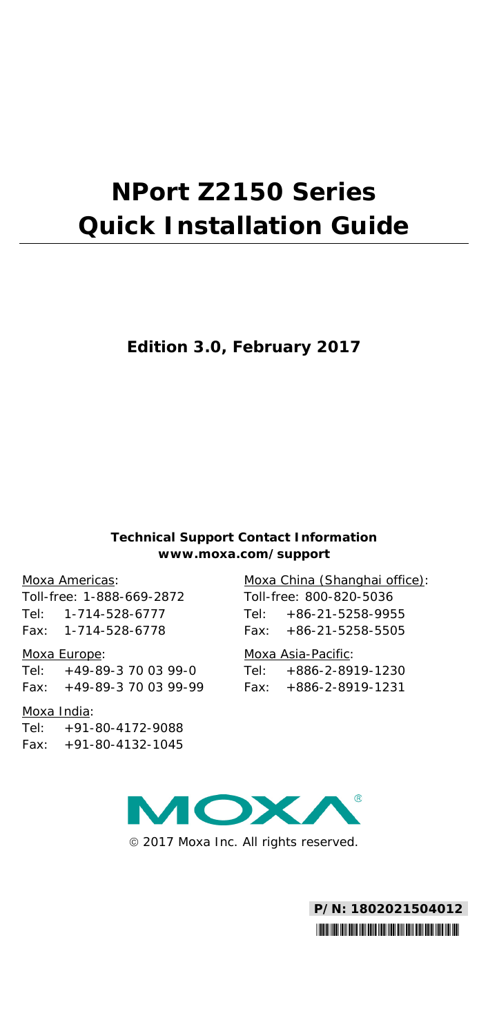# **NPort Z2150 Series Quick Installation Guide**

### **Edition 3.0, February 2017**

#### **Technical Support Contact Information www.moxa.com/support**

#### Moxa Americas:

Toll-free: 1-888-669-2872 Tel: 1-714-528-6777 Fax: 1-714-528-6778

#### Moxa Europe:

Tel: +49-89-3 70 03 99-0 Fax: +49-89-3 70 03 99-99

#### Moxa India:

Tel: +91-80-4172-9088 Fax: +91-80-4132-1045 Moxa China (Shanghai office): Toll-free: 800-820-5036 Tel: +86-21-5258-9955 Fax: +86-21-5258-5505

#### Moxa Asia-Pacific:

Tel: +886-2-8919-1230 Fax: +886-2-8919-1231



2017 Moxa Inc. All rights reserved.

**P/N: 1802021504012** \*1802021504012\*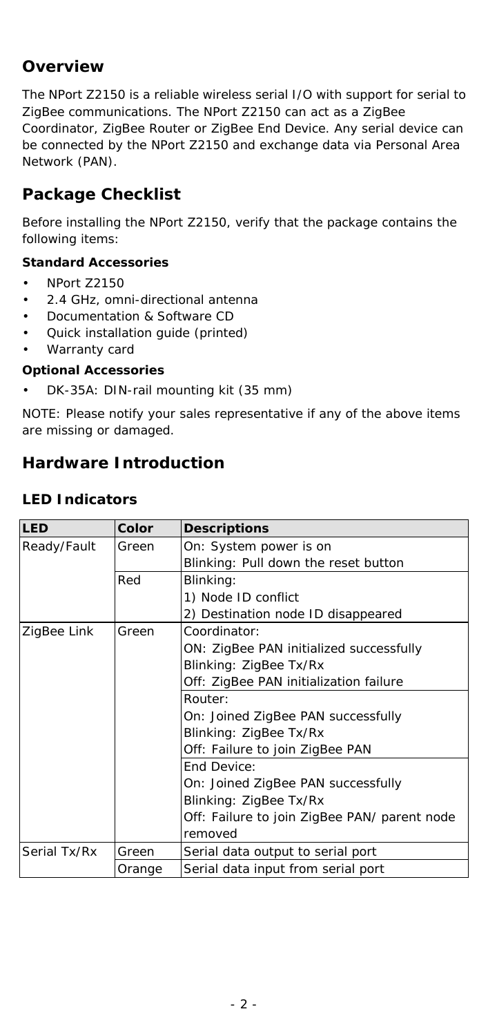# **Overview**

The NPort Z2150 is a reliable wireless serial I/O with support for serial to ZigBee communications. The NPort Z2150 can act as a ZigBee Coordinator, ZigBee Router or ZigBee End Device. Any serial device can be connected by the NPort Z2150 and exchange data via Personal Area Network (PAN).

# **Package Checklist**

Before installing the NPort Z2150, verify that the package contains the following items:

#### *Standard Accessories*

- NPort Z2150
- 2.4 GHz, omni-directional antenna
- Documentation & Software CD
- Quick installation guide (printed)
- Warranty card

#### *Optional Accessories*

• DK-35A: DIN-rail mounting kit (35 mm)

*NOTE: Please notify your sales representative if any of the above items are missing or damaged.*

# **Hardware Introduction**

#### **LED Indicators**

| LED          | Color  | <b>Descriptions</b>                          |  |
|--------------|--------|----------------------------------------------|--|
| Ready/Fault  | Green  | On: System power is on                       |  |
|              |        | Blinking: Pull down the reset button         |  |
|              | Red    | Blinking:                                    |  |
|              |        | 1) Node ID conflict                          |  |
|              |        | 2) Destination node ID disappeared           |  |
| ZigBee Link  | Green  | Coordinator:                                 |  |
|              |        | ON: ZigBee PAN initialized successfully      |  |
|              |        | Blinking: ZigBee Tx/Rx                       |  |
|              |        | Off: ZigBee PAN initialization failure       |  |
|              |        | Router:                                      |  |
|              |        | On: Joined ZigBee PAN successfully           |  |
|              |        | Blinking: ZigBee Tx/Rx                       |  |
|              |        | Off: Failure to join ZigBee PAN              |  |
|              |        | End Device:                                  |  |
|              |        | On: Joined ZigBee PAN successfully           |  |
|              |        | Blinking: ZigBee Tx/Rx                       |  |
|              |        | Off: Failure to join ZigBee PAN/ parent node |  |
|              |        | removed                                      |  |
| Serial Tx/Rx | Green  | Serial data output to serial port            |  |
|              | Orange | Serial data input from serial port           |  |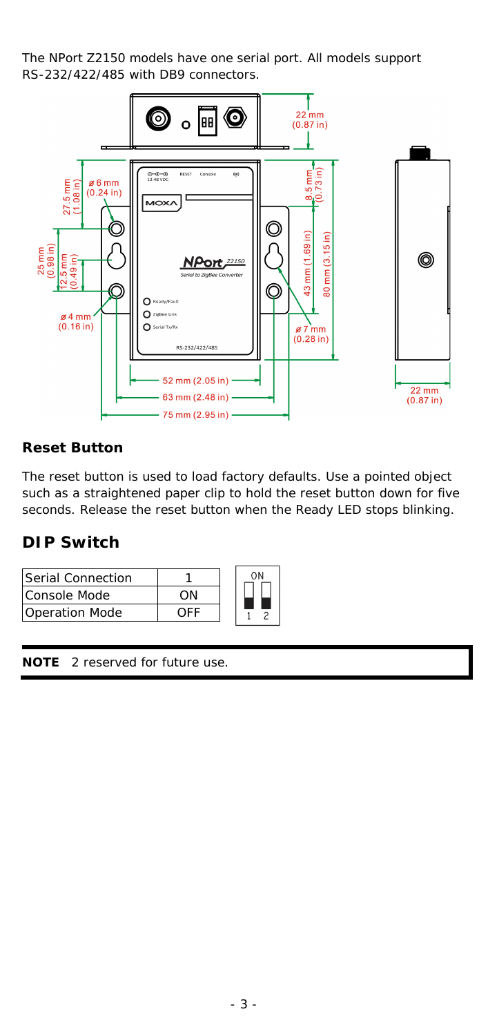The NPort Z2150 models have one serial port. All models support RS-232/422/485 with DB9 connectors.



#### **Reset Button**

The reset button is used to load factory defaults. Use a pointed object such as a straightened paper clip to hold the reset button down for five seconds. Release the reset button when the Ready LED stops blinking.

### **DIP Switch**

| Serial Connection |  |
|-------------------|--|
| Console Mode      |  |
| Operation Mode    |  |

**NOTE** 2 reserved for future use.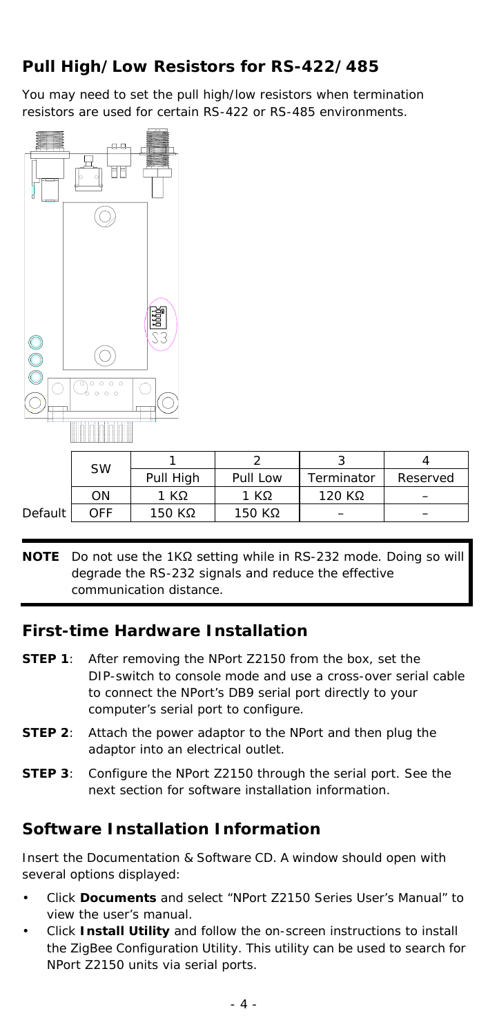# **Pull High/Low Resistors for RS-422/485**

You may need to set the pull high/low resistors when termination resistors are used for certain RS-422 or RS-485 environments.



|           | SW  |           |          |            |          |
|-----------|-----|-----------|----------|------------|----------|
|           |     | Pull High | Pull Low | Terminator | Reserved |
|           | ΟN  | 1 KΩ      | 1 KΩ     | $120$ KΩ   |          |
| Default I | OFF | 150 KΩ    | 150 KΩ   |            |          |

**NOTE** Do not use the 1KΩ setting while in RS-232 mode. Doing so will degrade the RS-232 signals and reduce the effective communication distance.

### **First-time Hardware Installation**

- **STEP 1**: After removing the NPort Z2150 from the box, set the DIP-switch to console mode and use a cross-over serial cable to connect the NPort's DB9 serial port directly to your computer's serial port to configure.
- **STEP 2**: Attach the power adaptor to the NPort and then plug the adaptor into an electrical outlet.
- **STEP 3:** Configure the NPort Z2150 through the serial port. See the next section for software installation information.

### **Software Installation Information**

Insert the Documentation & Software CD. A window should open with several options displayed:

- Click **Documents** and select "NPort Z2150 Series User's Manual" to view the user's manual.
- Click **Install Utility** and follow the on-screen instructions to install the ZigBee Configuration Utility. This utility can be used to search for NPort Z2150 units via serial ports.